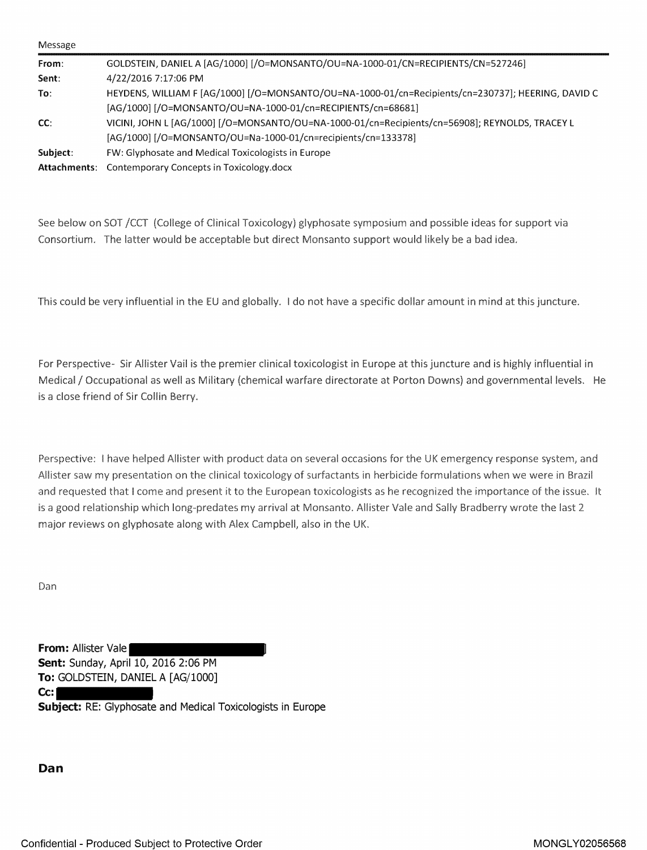| Message  |                                                                                                    |
|----------|----------------------------------------------------------------------------------------------------|
| From:    | GOLDSTEIN, DANIEL A [AG/1000] [/O=MONSANTO/OU=NA-1000-01/CN=RECIPIENTS/CN=527246]                  |
| Sent:    | 4/22/2016 7:17:06 PM                                                                               |
| To:      | HEYDENS, WILLIAM F [AG/1000] [/O=MONSANTO/OU=NA-1000-01/cn=Recipients/cn=230737]; HEERING, DAVID C |
|          | [AG/1000] [/O=MONSANTO/OU=NA-1000-01/cn=RECIPIENTS/cn=68681]                                       |
| CC:      | VICINI, JOHN L [AG/1000] [/O=MONSANTO/OU=NA-1000-01/cn=Recipients/cn=56908]; REYNOLDS, TRACEY L    |
|          | [AG/1000] [/O=MONSANTO/OU=Na-1000-01/cn=recipients/cn=133378]                                      |
| Subject: | FW: Glyphosate and Medical Toxicologists in Europe                                                 |
|          | Attachments: Contemporary Concepts in Toxicology.docx                                              |

See below on SOT /CCT (College of Clinical Toxicology) glyphosate symposium and possible ideas for support via Consortium. The latter would be acceptable but direct Monsanto support would likely be a bad idea.

This could be very influential in the EU and globally. I do not have a specific dollar amount in mind at this juncture.

For Perspective·· Sir Allister Vail is the premier clinical toxicologist in Europe at this juncture and is highly influential in Medical/ Occupational as well as Military (chemical warfare directorate at Parton Downs) and governmental levels. He is a close friend of Sir Collin Berry.

Perspective: I have helped Allister with product data on several occasions for the UK emergency response system, and Allister saw my presentation on the clinical toxicology of surfactants in herbicide formulations when we were in Brazil and requested that I come and present it to the European toxicologists as he recognized the importance of the issue. It is a good relationship which long-predates my arrival at Monsanto. Allister Vale and Sally Bradberry wrote the last 2 major reviews on glyphosate along with Alex Campbell, also in the UK.

Dan

**From: Allister Vale Sent:** Sunday, April 10, 2016 2:06 PM **To:** GOLDSTEIN, DANIEL A [AG/1000] **Cc: Subject:** RE: Glyphosate and Medical Toxicologists in Europe

**Dan**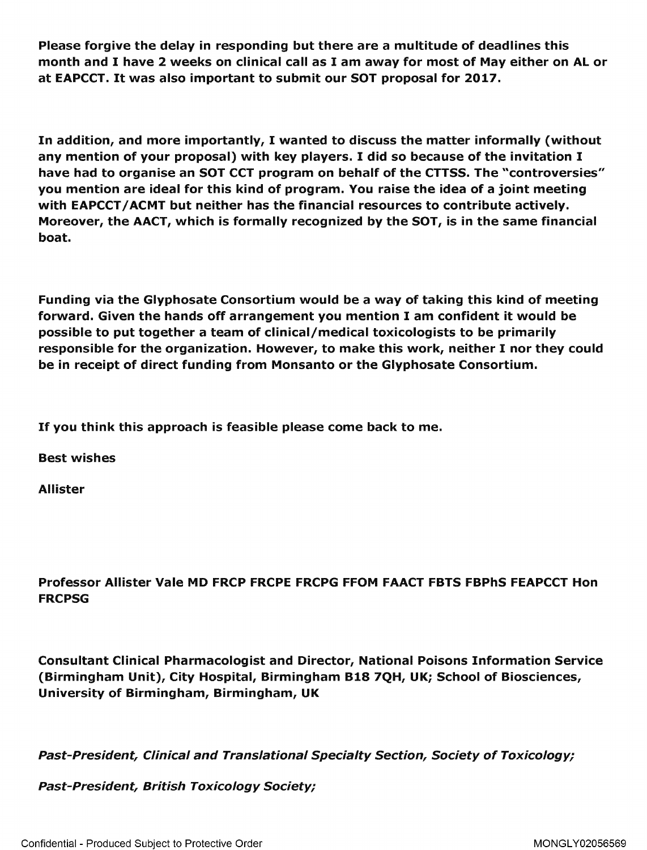Please forgive the delay in responding but there are a multitude of deadlines this month and I have 2 weeks on clinical call as I am away for most of May either on Al or at EAPCCT. It was also important to submit our SOT proposal for 2017.

In addition, and more importantly, I wanted to discuss the matter informally (without any mention of your proposal) with key players. I did so because of the invitation I have had to organise an SOT CCT program on behalf of the CTTSS. The "controversies" you mention are ideal for this kind of program. You raise the idea of a joint meeting with EAPCCT / ACMT but neither has the financial resources to contribute actively. Moreover, the AACT, which is formally recognized by the SOT, is in the same financial boat.

Funding via the [Glyphosate](https://www.baumhedlundlaw.com/toxic-tort-law/monsanto-roundup-lawsuit/) Consortium would be a way of taking this kind of meeting forward. Given the hands off arrangement you mention I am confident it would be possible to put together a team of clinical/medical toxicologists to be primarily responsible for the organization. However, to make this work, neither I nor they could be in receipt of direct funding from Monsanto or the Glyphosate Consortium.

If you think this approach is feasible please come back to me.

Best wishes

Allister

Professor Allister Vale MD FRCP FRCPE FRCPG FFOM FAACT FBTS FBPhS FEAPCCT Hon FRCPSG

Consultant Clinical Pharmacologist and Director, National Poisons Information Service (Birmingham Unit), City Hospital, Birmingham 818 7QH, UK; School of Biosciences, University of Birmingham, Birmingham, UK

Past-President, Clinical and Translational Specialty Section, Society of Toxicology;

Past-President, British Toxicology Society;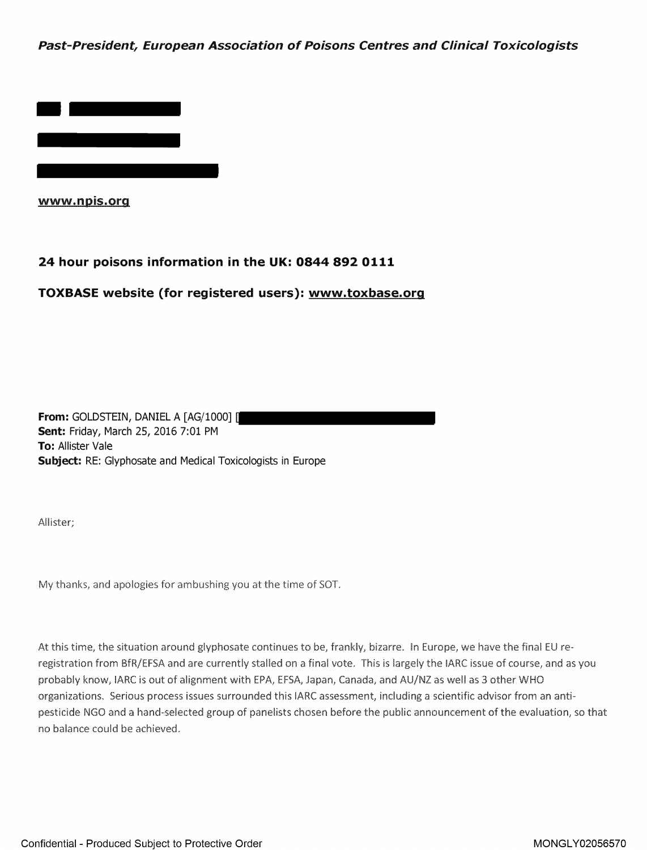**Past-President, European Association of Poisons Centres and Clinical Toxicologists** 



**www.npis.org** 

## **24 hour poisons information in the UK: 0844 892 0111**

## **TOXBASE website (for registered users): www.toxbase.org**

**From: GOLDSTEIN, DANIEL A [AG/1000] [ Sent:** Friday, March 25, 2016 7:01 PM **To:** Allister Vale **Subject:** RE: Glyphosate and Medical Toxicologists in Europe

Allister;

My thanks, and apologies for ambushing you at the time of SOT.

At this time, the situation around glyphosate continues to be, frankly, bizarre. In Europe, we have the final EU reregistration from BfR/EFSA and are currently stalled on a final vote. This is largely the IARC issue of course, and as you probably know, IARC is out of alignment with EPA, EFSA, Japan, Canada, and AU/NZ as well as 3 other WHO organizations. Serious process issues surrounded this IARC assessment, including a scientific advisor from an antipestidde NGO and a hand-selected group of panelists chosen before the public announcement of the evaluation, so that: no balance could be achieved.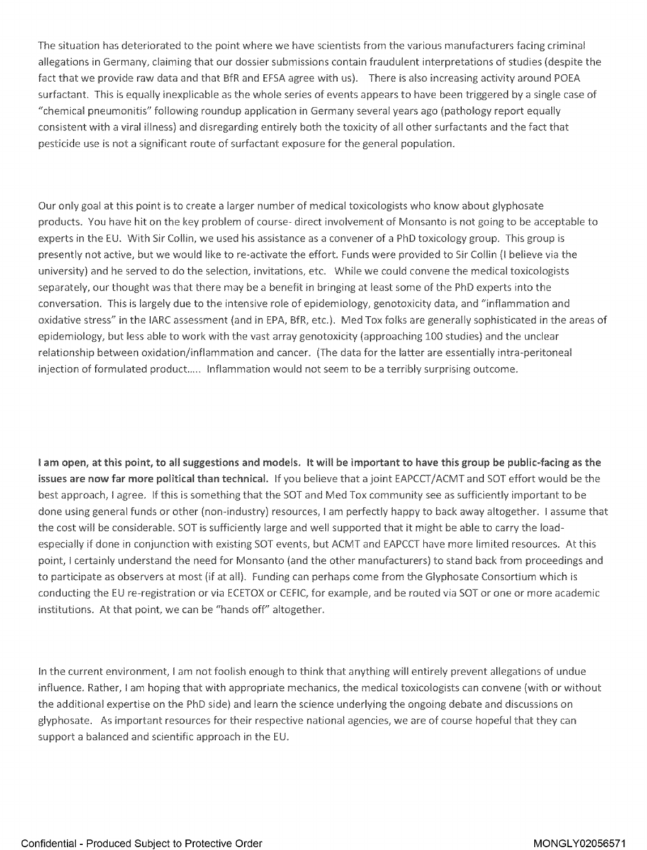The situation has deteriorated to the point where we have scientists from the various manufacturers facing criminal allegations in Germany, claiming that our dossier submissions contain fraudulent interpretations of studies (despite the fact that we provide raw data and that BfR and EFSA agree with us). There is also increasing activity around POEA surfactant. This is equally inexplicable as the whole series of events appears to have been triggered by a single case of "chemical pneumonitis" following roundup application in Germany several years ago (pathology report equally consistent with a viral illness) and disregarding entirely both the toxicity of all other surfactants and the fact that pesticide use is not a significant route of surfactant exposure for the general population.

Our only goal at this point is to create a larger number of medical toxicologists who know about glyphosate products. You have hit on the key problem of course- direct involvement of Monsanto is not going to be acceptable to experts in the EU. With Sir Collin, we used his assistance as a convener of a PhD toxicology group. This group is presently not active, but we would like to re-activate the effort. Funds were provided to Sir Collin (I believe via the university) and he served to do the selection, invitations, etc. While we could convene the medical toxicologists separately, our thought was that there may be a benefit in bringing at least some of the PhD experts into the conversation. This is largely due to the intensive role of epidemiology, genotoxicity data, and "inflammation and oxidative stress" in the IARC assessment (and in EPA, BfR, etc.). Med Tox folks are generally sophisticated in the areas of epidemiology, but less able to work with the vast array genotoxicity (approaching 100 studies) and the unclear relationship between oxidation/inflammation and cancer. (The data for the latter are essentially intra-peritoneal injection of formulated product..... Inflammation would not seem to be a terribly surprising outcome.

I am open, at this point, to all suggestions and models. It will be important to have this group be public-facing as the issues are now far more political than technical. If you believe that a joint EAPCCT/ACMT and SOT effort would be the best approach, I agree. If this is something that the SOT and Med Tox community see as sufficiently important to be done using general funds or other (non-industry) resources, I am perfectly happy to back away altogether. I assume that the cost will be considerable. SOT is sufficiently large and well supported that it might be able to carry the loadespecially if done in conjunction with existing SOT events, but ACMT and EAPCCT have more limited resources. At this point, I certainly understand the need for Monsanto (and the other manufacturers) to stand back from proceedings and to participate as observers at most (if at all). Funding can perhaps come from the Glyphosate Consortium which is conducting the EU re-registration or via ECETOX or CEFIC, for example, and be routed via SOT or one or more academic institutions. At that point, we can be "hands off" altogether.

In the current environment, I am not foolish enough to think that anything will entirely prevent allegations of undue influence. Rather, I am hoping that with appropriate mechanics, the medical toxicologists can convene (with or without the additional expertise on the PhD side) and learn the science underlying the ongoing debate and discussions on glyphosate. As important resources for their respective national agencies, we are of course hopeful that they can support a balanced and scientific approach in the EU.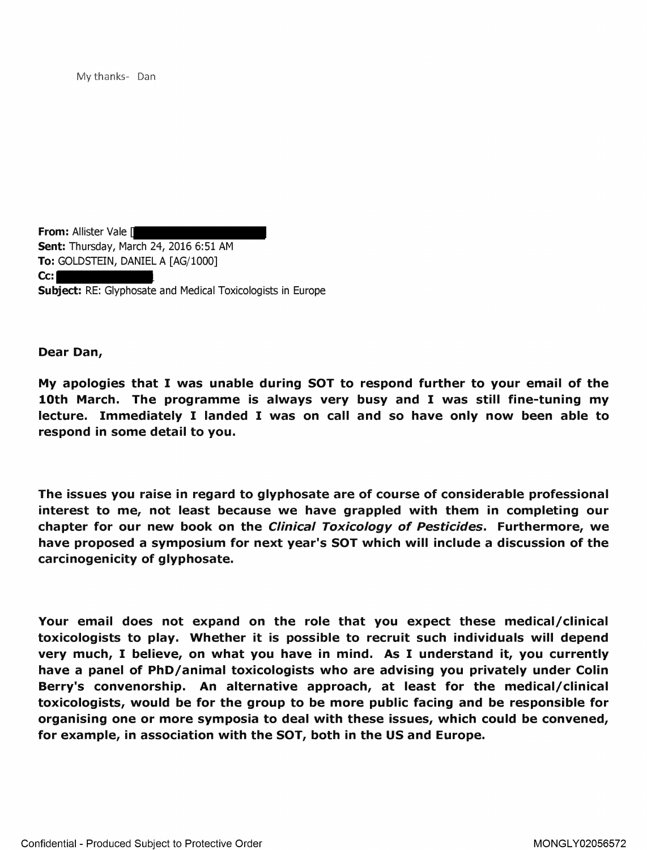My thanks- Dan

**From: Allister Vale [ Sent:** Thursday, March 24, 2016 6:51 AM **To:** GOLDSTEIN, DANIEL A [AG/1000] **Cc: Subject:** RE: Glyphosate and Medical Toxicologists in Europe

**Dear Dan,** 

**My apologies that** I **was unable during SOT to respond further to your email of the**  10th March. The programme is always very busy and I was still fine-tuning my lecture. Immediately I landed I was on call and so have only now been able to respond in some detail to you.

The issues you raise in regard to glyphosate are of course of considerable professional **interest to me, not least because we have grappled with them in completing our chapter for our new book on the Clinical Toxicology of Pesticides. Furthermore, we have proposed a symposium for next year's SOT which will include a discussion of the carcinogenicity of glyphosate.** 

**Your email does not expand on the role that you expect these medical/clinical**  toxicologists to play. Whether it is possible to recruit such individuals will depend very much, I believe, on what you have in mind. As I understand it, you currently have a panel of PhD/animal toxicologists who are advising you privately under Colin **Berry's convenorship. An alternative approach, at least for the medical/clinical toxicologists, would be for the group to be more public facing and be responsible for organising one or more symposia to deal with these issues, which could be convened, for example, in association with the SOT, both in the US and Europe.**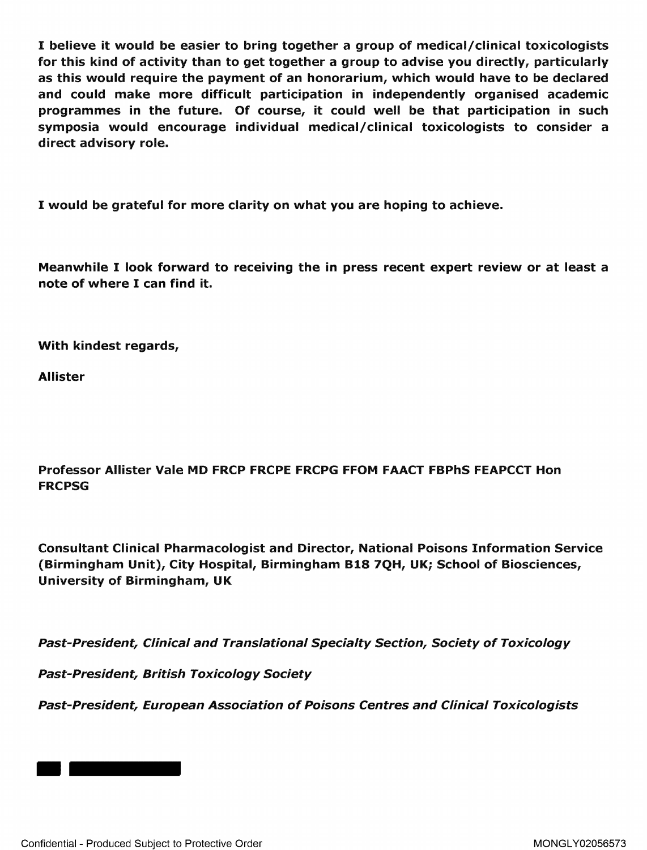I believe it would be easier to bring together a group of medical/clinical toxicologists for this kind of activity than to get together a group to advise you directly, particularly as this would require the payment of an honorarium, which would have to be declared and could make more difficult participation in independently organised academic programmes in the future. Of course, it could well be that participation in such symposia would encourage individual medical/clinical toxicologists to consider a direct advisory role.

I would be grateful for more clarity on what you are hoping to achieve.

Meanwhile I look forward to receiving the in press recent expert review or at least a note of where I can find it.

With kindest regards,

Allister

Professor Allister Vale MD FRCP FRCPE FRCPG FFOM FAACT FBPhS FEAPCCT Hon FRCPSG

Consultant Clinical Pharmacologist and Director, National Poisons Information Service (Birmingham Unit), City Hospital, Birmingham 818 7QH, UK; School of Biosciences, University of Birmingham, UK

Past-President, Clinical and Translational Specialty Section, Society of Toxicology

Past-President, British Toxicology Society

Past-President, European Association of Poisons Centres and Clinical Toxicologists

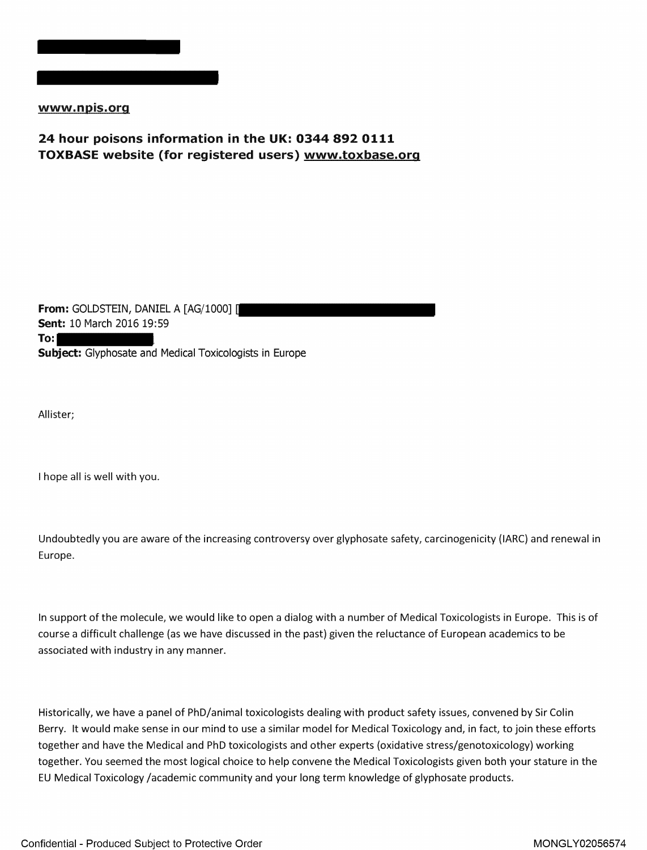

www.npis.org

## **24 hour poisons information in the UK: 0344 892 0111 TOXBASE website (for registered users) www.toxbase.org**

**From: GOLDSTEIN, DANIEL A [AG/1000] [ Sent:** 10 March 2016 19:59 **To: Subject:** Glyphosate and Medical Toxicologists in Europe

Allister;

I hope all is well with you.

Undoubtedly you are aware of the increasing controversy over glyphosate safety, carcinogenicity (IARC) and renewal in Europe.

In support of the molecule, we would like to open a dialog with a number of Medical Toxicologists in Europe. This is of course a difficult challenge (as we have discussed in the past) given the reluctance of European academics to be associated with industry in any manner.

Historically, we have a panel of PhD/animal toxicologists dealing with product safety issues, convened by Sir Colin Berry. It would make sense in our mind to use a similar model for Medical Toxicology and, in fact, to join these efforts together and have the Medical and PhD toxicologists and other experts (oxidative stress/genotoxicology) working together. You seemed the most logical choice to help convene the Medical Toxicologists given both your stature in the EU Medical Toxicology /academic community and your long term knowledge of glyphosate products.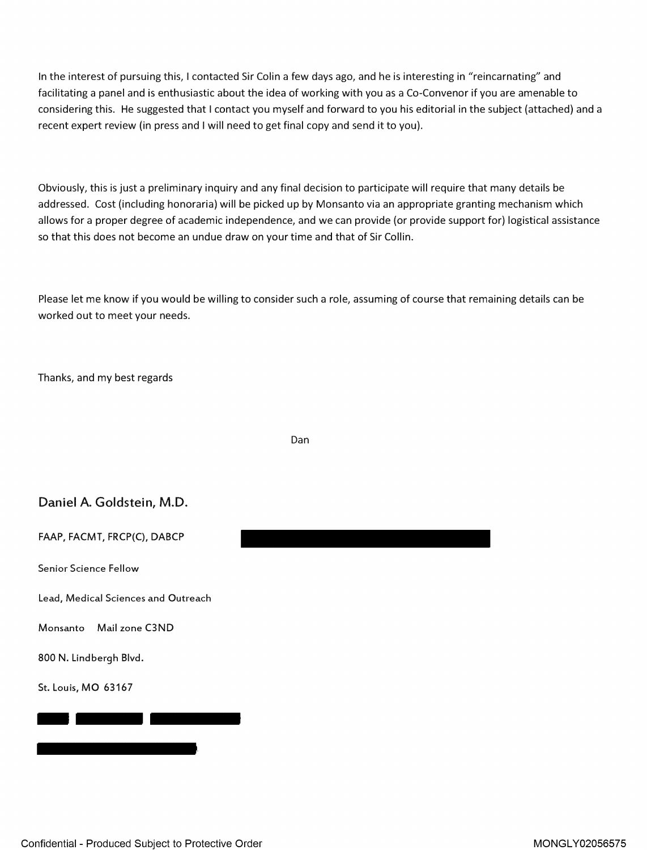In the interest of pursuing this, I contacted Sir Colin a few days ago, and he is interesting in "reincarnating" and facilitating a panel and is enthusiastic about the idea of working with you as a Co-Convenor if you are amenable to considering this. He suggested that I contact you myself and forward to you his editorial in the subject (attached) and a recent expert review (in press and I will need to get final copy and send it to you).

Obviously, this is just a preliminary inquiry and any final decision to participate will require that many details be addressed. Cost (including honoraria) will be picked up by Monsanto via an appropriate granting mechanism which allows for a proper degree of academic independence, and we can provide (or provide support for) logistical assistance so that this does not become an undue draw on your time and that of Sir Collin.

Please let me know if you would be willing to consider such a role, assuming of course that remaining details can be worked out to meet your needs.

Thanks, and my best regards

Dan

## Daniel A. Goldstein, M.D.

FAAP, FACMT, FRCP(C), DABCP

Senior Science Fellow

Lead, Medical Sciences and Outreach

Monsanto Mail zone C3ND Monsanto Mail zone<br>800 N. Lindbergh Blvd.<br>5t. Louis, MO 63167

800 N. Lindbergh Blvd.

St. Louis, MO 63167